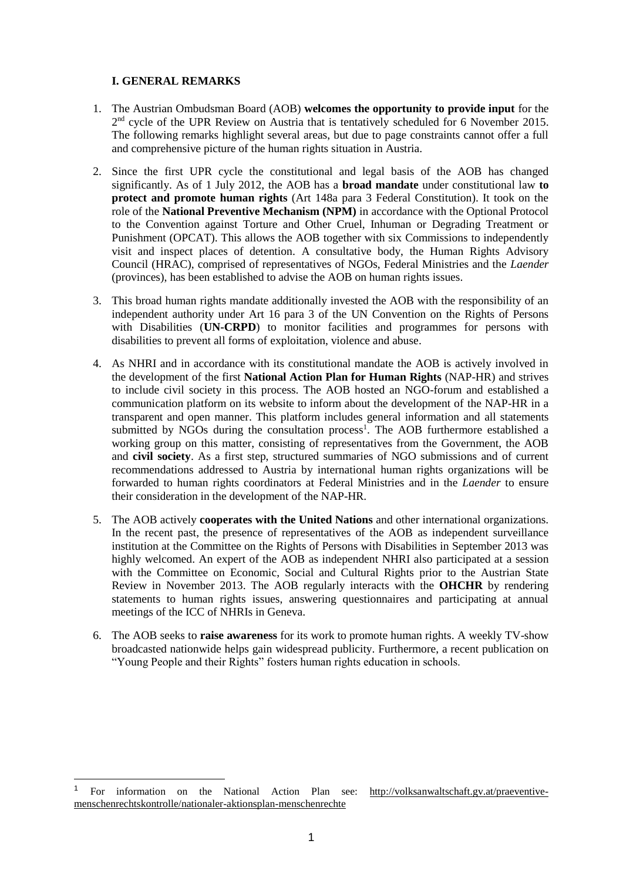# **I. GENERAL REMARKS**

1

- 1. The Austrian Ombudsman Board (AOB) **welcomes the opportunity to provide input** for the 2<sup>nd</sup> cycle of the UPR Review on Austria that is tentatively scheduled for 6 November 2015. The following remarks highlight several areas, but due to page constraints cannot offer a full and comprehensive picture of the human rights situation in Austria.
- 2. Since the first UPR cycle the constitutional and legal basis of the AOB has changed significantly. As of 1 July 2012, the AOB has a **broad mandate** under constitutional law **to protect and promote human rights** (Art 148a para 3 Federal Constitution). It took on the role of the **National Preventive Mechanism (NPM)** in accordance with the Optional Protocol to the Convention against Torture and Other Cruel, Inhuman or Degrading Treatment or Punishment (OPCAT). This allows the AOB together with six Commissions to independently visit and inspect places of detention. A consultative body, the Human Rights Advisory Council (HRAC), comprised of representatives of NGOs, Federal Ministries and the *Laender* (provinces), has been established to advise the AOB on human rights issues.
- 3. This broad human rights mandate additionally invested the AOB with the responsibility of an independent authority under Art 16 para 3 of the UN Convention on the Rights of Persons with Disabilities (UN-CRPD) to monitor facilities and programmes for persons with disabilities to prevent all forms of exploitation, violence and abuse.
- 4. As NHRI and in accordance with its constitutional mandate the AOB is actively involved in the development of the first **National Action Plan for Human Rights** (NAP-HR) and strives to include civil society in this process. The AOB hosted an NGO-forum and established a communication platform on its website to inform about the development of the NAP-HR in a transparent and open manner. This platform includes general information and all statements submitted by NGOs during the consultation process<sup>1</sup>. The AOB furthermore established a working group on this matter, consisting of representatives from the Government, the AOB and **civil society**. As a first step, structured summaries of NGO submissions and of current recommendations addressed to Austria by international human rights organizations will be forwarded to human rights coordinators at Federal Ministries and in the *Laender* to ensure their consideration in the development of the NAP-HR.
- 5. The AOB actively **cooperates with the United Nations** and other international organizations. In the recent past, the presence of representatives of the AOB as independent surveillance institution at the Committee on the Rights of Persons with Disabilities in September 2013 was highly welcomed. An expert of the AOB as independent NHRI also participated at a session with the Committee on Economic, Social and Cultural Rights prior to the Austrian State Review in November 2013. The AOB regularly interacts with the **OHCHR** by rendering statements to human rights issues, answering questionnaires and participating at annual meetings of the ICC of NHRIs in Geneva.
- 6. The AOB seeks to **raise awareness** for its work to promote human rights. A weekly TV-show broadcasted nationwide helps gain widespread publicity. Furthermore, a recent publication on "Young People and their Rights" fosters human rights education in schools.

<sup>1</sup> For information on the National Action Plan see: [http://volksanwaltschaft.gv.at/praeventive](http://volksanwaltschaft.gv.at/praeventive-menschenrechtskontrolle/nationaler-aktionsplan-menschenrechte)[menschenrechtskontrolle/nationaler-aktionsplan-menschenrechte](http://volksanwaltschaft.gv.at/praeventive-menschenrechtskontrolle/nationaler-aktionsplan-menschenrechte)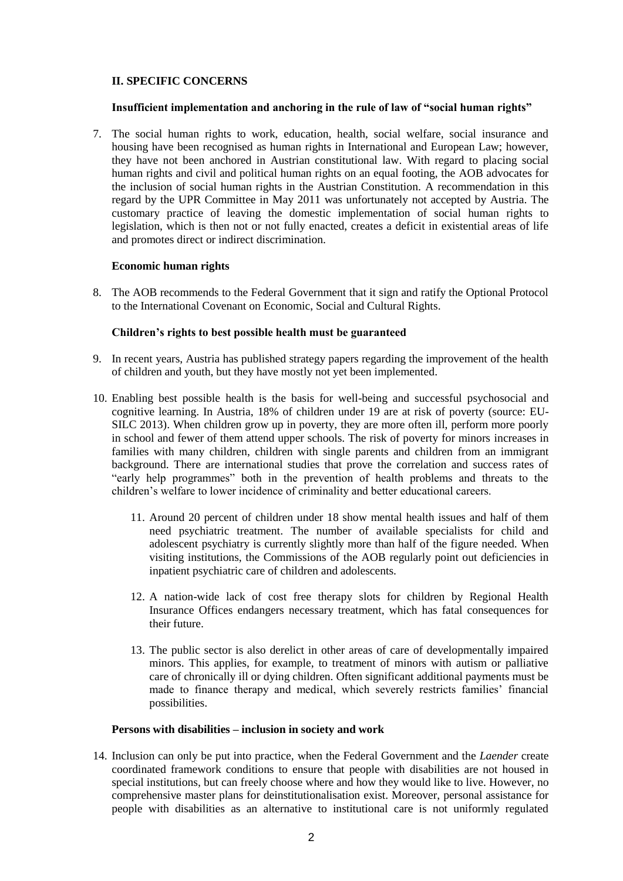# **II. SPECIFIC CONCERNS**

#### **Insufficient implementation and anchoring in the rule of law of "social human rights"**

7. The social human rights to work, education, health, social welfare, social insurance and housing have been recognised as human rights in International and European Law; however, they have not been anchored in Austrian constitutional law. With regard to placing social human rights and civil and political human rights on an equal footing, the AOB advocates for the inclusion of social human rights in the Austrian Constitution. A recommendation in this regard by the UPR Committee in May 2011 was unfortunately not accepted by Austria. The customary practice of leaving the domestic implementation of social human rights to legislation, which is then not or not fully enacted, creates a deficit in existential areas of life and promotes direct or indirect discrimination.

## **Economic human rights**

8. The AOB recommends to the Federal Government that it sign and ratify the Optional Protocol to the International Covenant on Economic, Social and Cultural Rights.

#### **Children's rights to best possible health must be guaranteed**

- 9. In recent years, Austria has published strategy papers regarding the improvement of the health of children and youth, but they have mostly not yet been implemented.
- 10. Enabling best possible health is the basis for well-being and successful psychosocial and cognitive learning. In Austria, 18% of children under 19 are at risk of poverty (source: EU-SILC 2013). When children grow up in poverty, they are more often ill, perform more poorly in school and fewer of them attend upper schools. The risk of poverty for minors increases in families with many children, children with single parents and children from an immigrant background. There are international studies that prove the correlation and success rates of "early help programmes" both in the prevention of health problems and threats to the children's welfare to lower incidence of criminality and better educational careers.
	- 11. Around 20 percent of children under 18 show mental health issues and half of them need psychiatric treatment. The number of available specialists for child and adolescent psychiatry is currently slightly more than half of the figure needed. When visiting institutions, the Commissions of the AOB regularly point out deficiencies in inpatient psychiatric care of children and adolescents.
	- 12. A nation-wide lack of cost free therapy slots for children by Regional Health Insurance Offices endangers necessary treatment, which has fatal consequences for their future.
	- 13. The public sector is also derelict in other areas of care of developmentally impaired minors. This applies, for example, to treatment of minors with autism or palliative care of chronically ill or dying children. Often significant additional payments must be made to finance therapy and medical, which severely restricts families' financial possibilities.

## **Persons with disabilities – inclusion in society and work**

14. Inclusion can only be put into practice, when the Federal Government and the *Laender* create coordinated framework conditions to ensure that people with disabilities are not housed in special institutions, but can freely choose where and how they would like to live. However, no comprehensive master plans for deinstitutionalisation exist. Moreover, personal assistance for people with disabilities as an alternative to institutional care is not uniformly regulated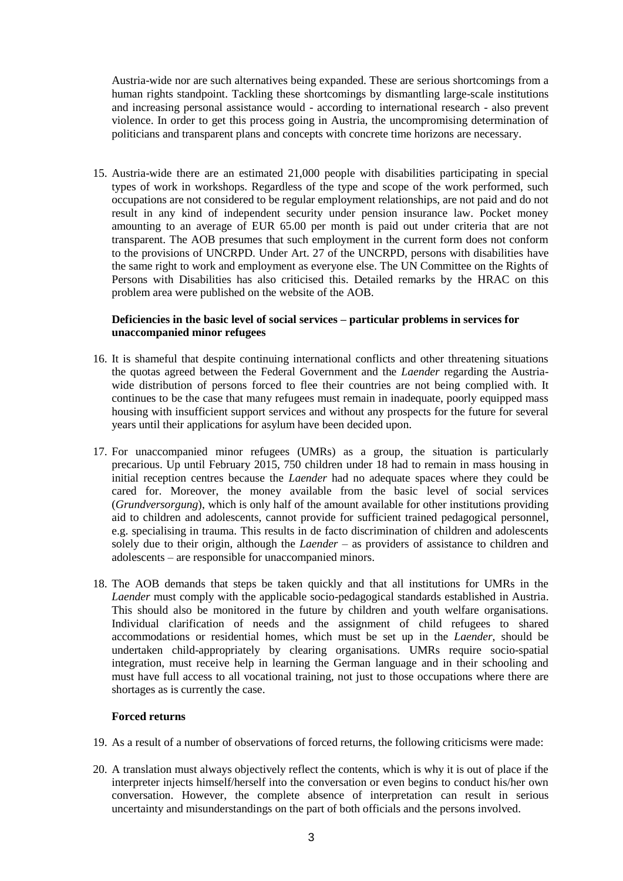Austria-wide nor are such alternatives being expanded. These are serious shortcomings from a human rights standpoint. Tackling these shortcomings by dismantling large-scale institutions and increasing personal assistance would - according to international research - also prevent violence. In order to get this process going in Austria, the uncompromising determination of politicians and transparent plans and concepts with concrete time horizons are necessary.

15. Austria-wide there are an estimated 21,000 people with disabilities participating in special types of work in workshops. Regardless of the type and scope of the work performed, such occupations are not considered to be regular employment relationships, are not paid and do not result in any kind of independent security under pension insurance law. Pocket money amounting to an average of EUR 65.00 per month is paid out under criteria that are not transparent. The AOB presumes that such employment in the current form does not conform to the provisions of UNCRPD. Under Art. 27 of the UNCRPD, persons with disabilities have the same right to work and employment as everyone else. The UN Committee on the Rights of Persons with Disabilities has also criticised this. Detailed remarks by the HRAC on this problem area were published on the website of the AOB.

## **Deficiencies in the basic level of social services – particular problems in services for unaccompanied minor refugees**

- 16. It is shameful that despite continuing international conflicts and other threatening situations the quotas agreed between the Federal Government and the *Laender* regarding the Austriawide distribution of persons forced to flee their countries are not being complied with. It continues to be the case that many refugees must remain in inadequate, poorly equipped mass housing with insufficient support services and without any prospects for the future for several years until their applications for asylum have been decided upon.
- 17. For unaccompanied minor refugees (UMRs) as a group, the situation is particularly precarious. Up until February 2015, 750 children under 18 had to remain in mass housing in initial reception centres because the *Laender* had no adequate spaces where they could be cared for. Moreover, the money available from the basic level of social services (*Grundversorgung*), which is only half of the amount available for other institutions providing aid to children and adolescents, cannot provide for sufficient trained pedagogical personnel, e.g. specialising in trauma. This results in de facto discrimination of children and adolescents solely due to their origin, although the *Laender* – as providers of assistance to children and adolescents – are responsible for unaccompanied minors.
- 18. The AOB demands that steps be taken quickly and that all institutions for UMRs in the *Laender* must comply with the applicable socio-pedagogical standards established in Austria. This should also be monitored in the future by children and youth welfare organisations. Individual clarification of needs and the assignment of child refugees to shared accommodations or residential homes, which must be set up in the *Laender*, should be undertaken child-appropriately by clearing organisations. UMRs require socio-spatial integration, must receive help in learning the German language and in their schooling and must have full access to all vocational training, not just to those occupations where there are shortages as is currently the case.

## **Forced returns**

- 19. As a result of a number of observations of forced returns, the following criticisms were made:
- 20. A translation must always objectively reflect the contents, which is why it is out of place if the interpreter injects himself/herself into the conversation or even begins to conduct his/her own conversation. However, the complete absence of interpretation can result in serious uncertainty and misunderstandings on the part of both officials and the persons involved.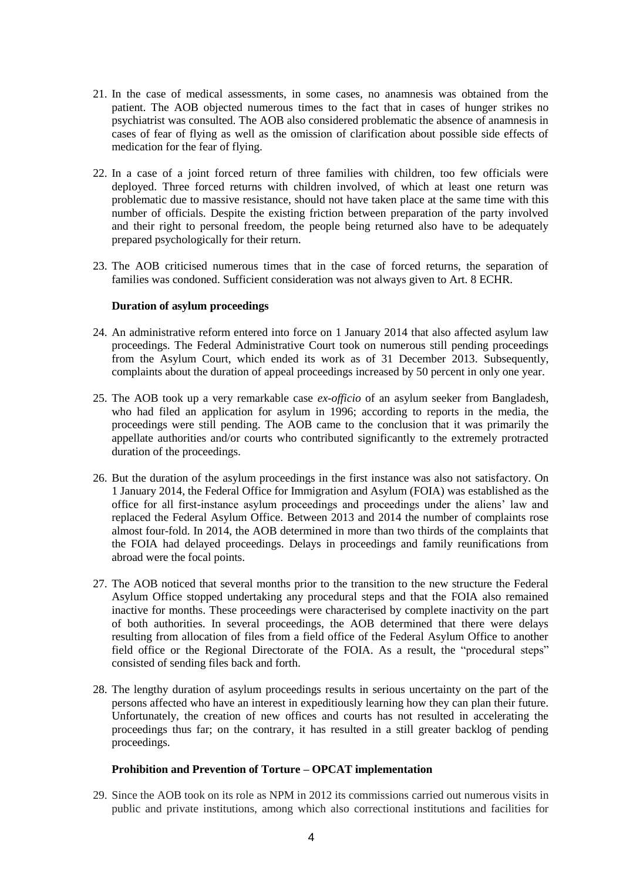- 21. In the case of medical assessments, in some cases, no anamnesis was obtained from the patient. The AOB objected numerous times to the fact that in cases of hunger strikes no psychiatrist was consulted. The AOB also considered problematic the absence of anamnesis in cases of fear of flying as well as the omission of clarification about possible side effects of medication for the fear of flying.
- 22. In a case of a joint forced return of three families with children, too few officials were deployed. Three forced returns with children involved, of which at least one return was problematic due to massive resistance, should not have taken place at the same time with this number of officials. Despite the existing friction between preparation of the party involved and their right to personal freedom, the people being returned also have to be adequately prepared psychologically for their return.
- 23. The AOB criticised numerous times that in the case of forced returns, the separation of families was condoned. Sufficient consideration was not always given to Art. 8 ECHR.

## **Duration of asylum proceedings**

- 24. An administrative reform entered into force on 1 January 2014 that also affected asylum law proceedings. The Federal Administrative Court took on numerous still pending proceedings from the Asylum Court, which ended its work as of 31 December 2013. Subsequently, complaints about the duration of appeal proceedings increased by 50 percent in only one year.
- 25. The AOB took up a very remarkable case *ex-officio* of an asylum seeker from Bangladesh, who had filed an application for asylum in 1996; according to reports in the media, the proceedings were still pending. The AOB came to the conclusion that it was primarily the appellate authorities and/or courts who contributed significantly to the extremely protracted duration of the proceedings.
- 26. But the duration of the asylum proceedings in the first instance was also not satisfactory. On 1 January 2014, the Federal Office for Immigration and Asylum (FOIA) was established as the office for all first-instance asylum proceedings and proceedings under the aliens' law and replaced the Federal Asylum Office. Between 2013 and 2014 the number of complaints rose almost four-fold. In 2014, the AOB determined in more than two thirds of the complaints that the FOIA had delayed proceedings. Delays in proceedings and family reunifications from abroad were the focal points.
- 27. The AOB noticed that several months prior to the transition to the new structure the Federal Asylum Office stopped undertaking any procedural steps and that the FOIA also remained inactive for months. These proceedings were characterised by complete inactivity on the part of both authorities. In several proceedings, the AOB determined that there were delays resulting from allocation of files from a field office of the Federal Asylum Office to another field office or the Regional Directorate of the FOIA. As a result, the "procedural steps" consisted of sending files back and forth.
- 28. The lengthy duration of asylum proceedings results in serious uncertainty on the part of the persons affected who have an interest in expeditiously learning how they can plan their future. Unfortunately, the creation of new offices and courts has not resulted in accelerating the proceedings thus far; on the contrary, it has resulted in a still greater backlog of pending proceedings.

#### **Prohibition and Prevention of Torture – OPCAT implementation**

29. Since the AOB took on its role as NPM in 2012 its commissions carried out numerous visits in public and private institutions, among which also correctional institutions and facilities for